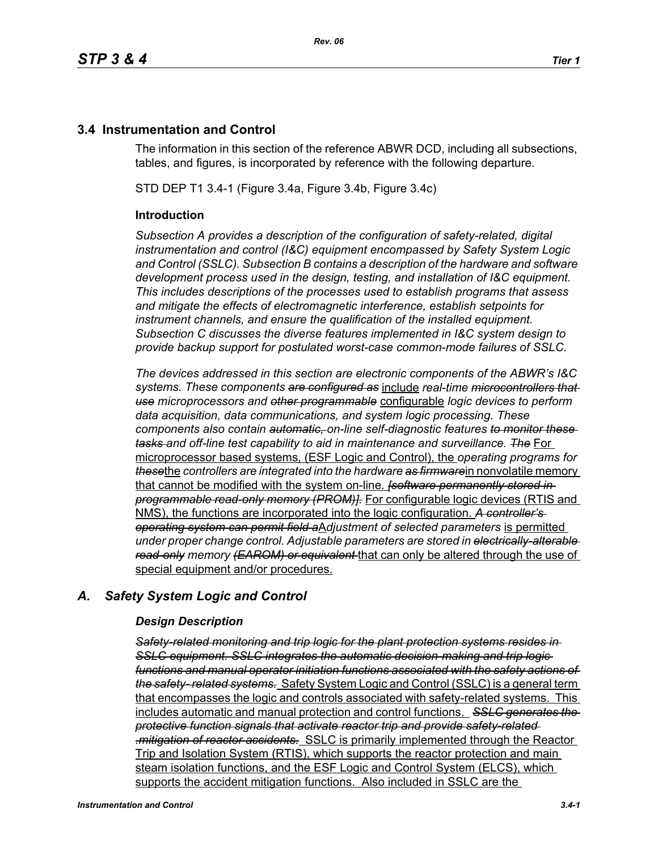# **3.4 Instrumentation and Control**

The information in this section of the reference ABWR DCD, including all subsections, tables, and figures, is incorporated by reference with the following departure.

STD DEP T1 3.4-1 (Figure 3.4a, Figure 3.4b, Figure 3.4c)

### **Introduction**

*Subsection A provides a description of the configuration of safety-related, digital instrumentation and control (I&C) equipment encompassed by Safety System Logic and Control (SSLC). Subsection B contains a description of the hardware and software development process used in the design, testing, and installation of I&C equipment. This includes descriptions of the processes used to establish programs that assess and mitigate the effects of electromagnetic interference, establish setpoints for instrument channels, and ensure the qualification of the installed equipment. Subsection C discusses the diverse features implemented in I&C system design to provide backup support for postulated worst-case common-mode failures of SSLC.*

*The devices addressed in this section are electronic components of the ABWR's I&C systems. These components are configured as* include *real-time microcontrollers that use microprocessors and other programmable* configurable *logic devices to perform data acquisition, data communications, and system logic processing. These components also contain automatic, on-line self-diagnostic features to monitor these tasks and off-line test capability to aid in maintenance and surveillance. The* For microprocessor based systems, (ESF Logic and Control), the *operating programs for these*the *controllers are integrated into the hardware as firmware*in nonvolatile memory that cannot be modified with the system on-line. *[software permanently stored in programmable read-only memory (PROM)].* For configurable logic devices (RTIS and NMS), the functions are incorporated into the logic configuration. *A controller's operating system can permit field a*A*djustment of selected parameters* is permitted *under proper change control. Adjustable parameters are stored in electrically-alterable read-only memory (EAROM) or equivalent* that can only be altered through the use of special equipment and/or procedures.

## *A. Safety System Logic and Control*

#### *Design Description*

*Safety-related monitoring and trip logic for the plant protection systems resides in SSLC equipment. SSLC integrates the automatic decision-making and trip logic functions and manual operator initiation functions associated with the safety actions of the safety- related systems.* Safety System Logic and Control (SSLC) is a general term that encompasses the logic and controls associated with safety-related systems. This includes automatic and manual protection and control functions. *SSLC generates the protective function signals that activate reactor trip and provide safety-related .mitigation of reactor accidents.* SSLC is primarily implemented through the Reactor Trip and Isolation System (RTIS), which supports the reactor protection and main steam isolation functions, and the ESF Logic and Control System (ELCS), which supports the accident mitigation functions. Also included in SSLC are the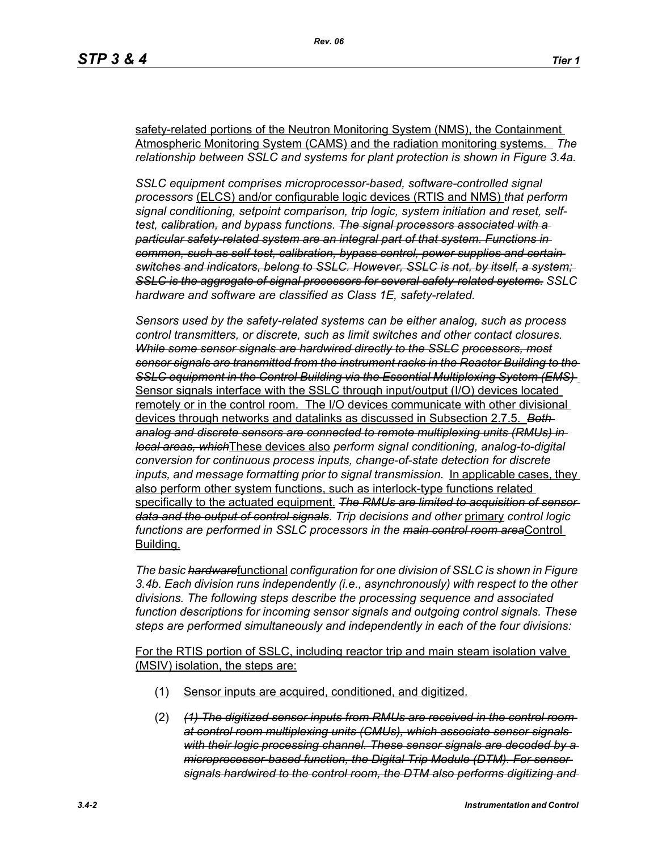safety-related portions of the Neutron Monitoring System (NMS), the Containment Atmospheric Monitoring System (CAMS) and the radiation monitoring systems. *The relationship between SSLC and systems for plant protection is shown in Figure 3.4a.*

*SSLC equipment comprises microprocessor-based, software-controlled signal processors* (ELCS) and/or configurable logic devices (RTIS and NMS) *that perform signal conditioning, setpoint comparison, trip logic, system initiation and reset, selftest, calibration, and bypass functions. The signal processors associated with a particular safety-related system are an integral part of that system. Functions in common, such as self-test, calibration, bypass control, power supplies and certain switches and indicators, belong to SSLC. However, SSLC is not, by itself, a system; SSLC is the aggregate of signal processors for several safety-related systems. SSLC hardware and software are classified as Class 1E, safety-related.*

*Sensors used by the safety-related systems can be either analog, such as process control transmitters, or discrete, such as limit switches and other contact closures. While some sensor signals are hardwired directly to the SSLC processors, most sensor signals are transmitted from the instrument racks in the Reactor Building to the SSLC equipment in the Control Building via the Essential Multiplexing System (EMS)*  Sensor signals interface with the SSLC through input/output (I/O) devices located remotely or in the control room. The I/O devices communicate with other divisional devices through networks and datalinks as discussed in Subsection 2.7.5. *Both analog and discrete sensors are connected to remote multiplexing units (RMUs) in local areas, which*These devices also *perform signal conditioning, analog-to-digital conversion for continuous process inputs, change-of-state detection for discrete inputs, and message formatting prior to signal transmission.* In applicable cases, they also perform other system functions, such as interlock-type functions related specifically to the actuated equipment. *The RMUs are limited to acquisition of sensor data and the output of control signals*. *Trip decisions and other* primary *control logic functions are performed in SSLC processors in the main control room area*Control Building.

*The basic hardware*functional *configuration for one division of SSLC is shown in Figure 3.4b. Each division runs independently (i.e., asynchronously) with respect to the other divisions. The following steps describe the processing sequence and associated function descriptions for incoming sensor signals and outgoing control signals. These steps are performed simultaneously and independently in each of the four divisions:*

For the RTIS portion of SSLC, including reactor trip and main steam isolation valve (MSIV) isolation, the steps are:

- (1) Sensor inputs are acquired, conditioned, and digitized.
- (2) *(1) The digitized sensor inputs from RMUs are received in the control room at control room multiplexing units (CMUs), which associate sensor signals with their logic processing channel. These sensor signals are decoded by a microprocessor-based function, the Digital Trip Module (DTM). For sensor signals hardwired to the control room, the DTM also performs digitizing and*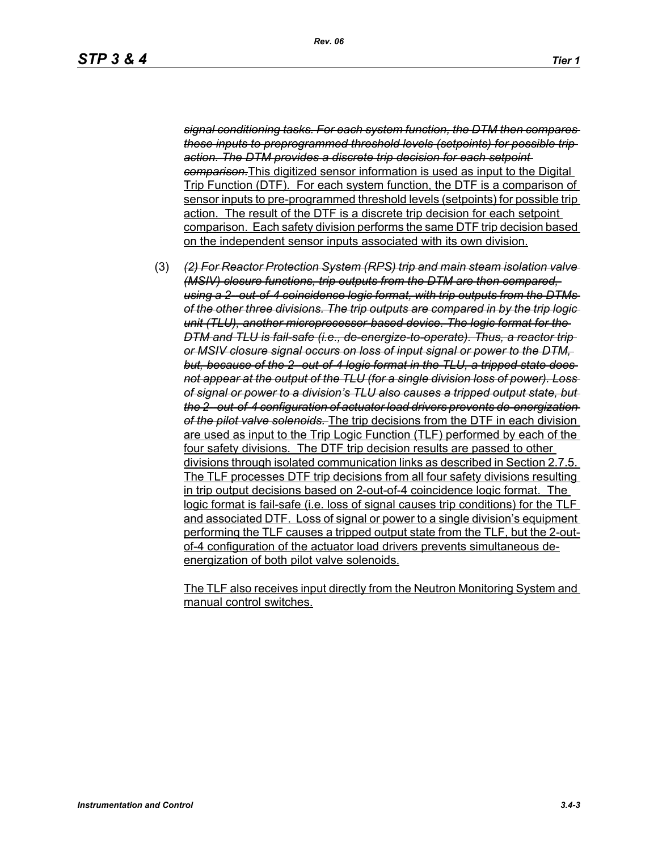*signal conditioning tasks. For each system function, the DTM then compares these inputs to preprogrammed threshold levels (setpoints) for possible trip action. The DTM provides a discrete trip decision for each setpoint comparison.*This digitized sensor information is used as input to the Digital Trip Function (DTF). For each system function, the DTF is a comparison of sensor inputs to pre-programmed threshold levels (setpoints) for possible trip action. The result of the DTF is a discrete trip decision for each setpoint comparison. Each safety division performs the same DTF trip decision based on the independent sensor inputs associated with its own division.

(3) *(2) For Reactor Protection System (RPS) trip and main steam isolation valve (MSIV) closure functions, trip outputs from the DTM are then compared, using a 2--out-of-4 coincidence logic format, with trip outputs from the DTMs of the other three divisions. The trip outputs are compared in by the trip logic unit (TLU), another microprocessor-based device. The logic format for the DTM and TLU is fail-safe (i.e., de-energize-to-operate). Thus, a reactor trip or MSIV closure signal occurs on loss of input signal or power to the DTM,*  but, because of the 2-out-of-4 logic format in the TLU, a tripped state does*not appear at the output of the TLU (for a single division loss of power). Loss of signal or power to a division's TLU also causes a tripped output state, but the 2--out-of-4 configuration of actuator load drivers prevents de-energization of the pilot valve solenoids.* The trip decisions from the DTF in each division are used as input to the Trip Logic Function (TLF) performed by each of the four safety divisions. The DTF trip decision results are passed to other divisions through isolated communication links as described in Section 2.7.5. The TLF processes DTF trip decisions from all four safety divisions resulting in trip output decisions based on 2-out-of-4 coincidence logic format. The logic format is fail-safe (i.e. loss of signal causes trip conditions) for the TLF and associated DTF. Loss of signal or power to a single division's equipment performing the TLF causes a tripped output state from the TLF, but the 2-outof-4 configuration of the actuator load drivers prevents simultaneous deenergization of both pilot valve solenoids.

The TLF also receives input directly from the Neutron Monitoring System and manual control switches.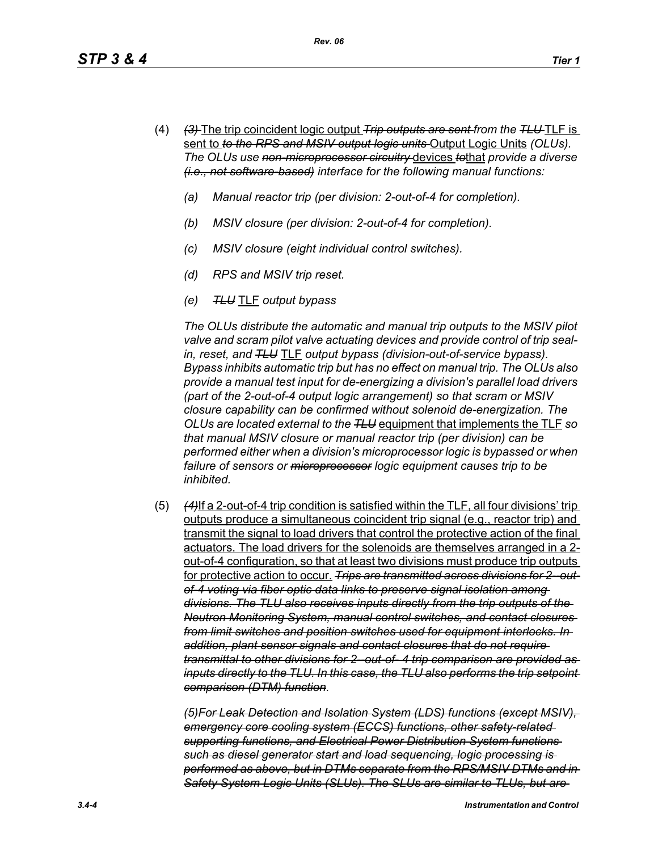- (4) *(3)* The trip coincident logic output *Trip outputs are sent from the TLU* TLF is sent to *to the RPS and MSIV output logic units* Output Logic Units *(OLUs). The OLUs use non-microprocessor circuitry* devices *to*that *provide a diverse (i.e., not software-based) interface for the following manual functions:*
	- *(a) Manual reactor trip (per division: 2-out-of-4 for completion).*
	- *(b) MSIV closure (per division: 2-out-of-4 for completion).*
	- *(c) MSIV closure (eight individual control switches).*
	- *(d) RPS and MSIV trip reset.*
	- *(e) TLU* TLF *output bypass*

*The OLUs distribute the automatic and manual trip outputs to the MSIV pilot valve and scram pilot valve actuating devices and provide control of trip sealin, reset, and TLU* TLF *output bypass (division-out-of-service bypass). Bypass inhibits automatic trip but has no effect on manual trip. The OLUs also provide a manual test input for de-energizing a division's parallel load drivers (part of the 2-out-of-4 output logic arrangement) so that scram or MSIV closure capability can be confirmed without solenoid de-energization. The OLUs are located external to the TLU* equipment that implements the TLF *so that manual MSIV closure or manual reactor trip (per division) can be performed either when a division's microprocessor logic is bypassed or when failure of sensors or microprocessor logic equipment causes trip to be inhibited.*

(5) *(4)*If a 2-out-of-4 trip condition is satisfied within the TLF, all four divisions' trip outputs produce a simultaneous coincident trip signal (e.g., reactor trip) and transmit the signal to load drivers that control the protective action of the final actuators. The load drivers for the solenoids are themselves arranged in a 2 out-of-4 configuration, so that at least two divisions must produce trip outputs for protective action to occur. *Trips are transmitted across divisions for 2--outof-4 voting via fiber optic data links to preserve signal isolation among divisions. The TLU also receives inputs directly from the trip outputs of the Neutron Monitoring System, manual control switches, and contact closures from limit switches and position switches used for equipment interlocks. In addition, plant sensor signals and contact closures that do not require transmittal to other divisions for 2--out-of- 4 trip comparison are provided as inputs directly to the TLU. In this case, the TLU also performs the trip setpoint comparison (DTM) function.*

*(5)For Leak Detection and Isolation System (LDS) functions (except MSIV), emergency core cooling system (ECCS) functions, other safety-related supporting functions, and Electrical Power Distribution System functions such as diesel generator start and load sequencing, logic processing is performed as above, but in DTMs separate from the RPS/MSIV DTMs and in Safety System Logic Units (SLUs). The SLUs are similar to TLUs, but are*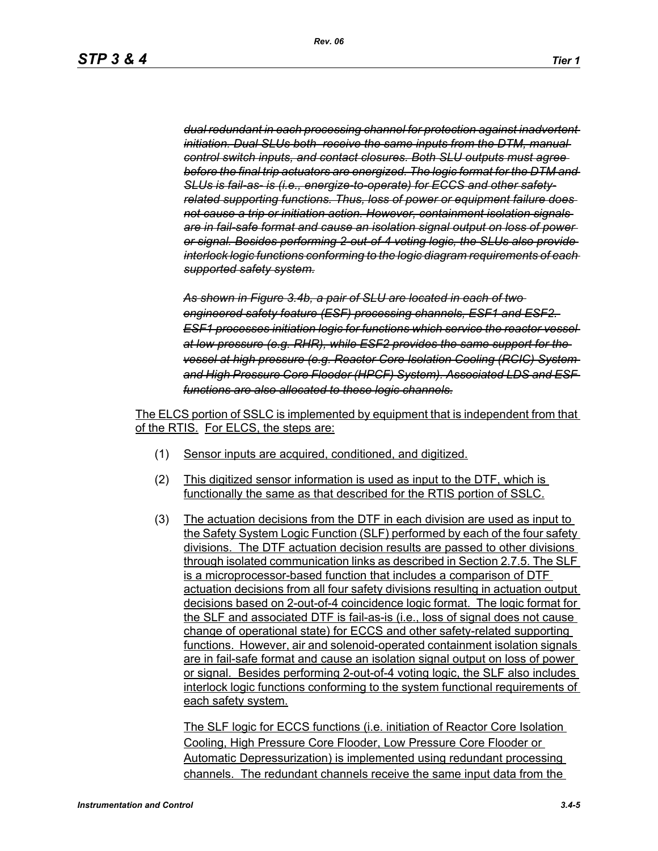*dual redundant in each processing channel for protection against inadvertent initiation. Dual SLUs both receive the same inputs from the DTM, manual control switch inputs, and contact closures. Both SLU outputs must agree before the final trip actuators are energized. The logic format for the DTM and SLUs is fail-as- is (i.e., energize-to-operate) for ECCS and other safetyrelated supporting functions. Thus, loss of power or equipment failure does not cause a trip or initiation action. However, containment isolation signals are in fail-safe format and cause an isolation signal output on loss of power or signal. Besides performing 2-out-of-4 voting logic, the SLUs also provide interlock logic functions conforming to the logic diagram requirements of each supported safety system.*

*As shown in Figure 3.4b, a pair of SLU are located in each of two engineered safety feature (ESF) processing channels, ESF1 and ESF2. ESF1 processes initiation logic for functions which service the reactor vessel at low pressure (e.g. RHR), while ESF2 provides the same support for the vessel at high pressure (e.g. Reactor Core Isolation Cooling (RCIC) System and High Pressure Core Flooder (HPCF) System). Associated LDS and ESF functions are also allocated to these logic channels.*

The ELCS portion of SSLC is implemented by equipment that is independent from that of the RTIS. For ELCS, the steps are:

- (1) Sensor inputs are acquired, conditioned, and digitized.
- (2) This digitized sensor information is used as input to the DTF, which is functionally the same as that described for the RTIS portion of SSLC.
- (3) The actuation decisions from the DTF in each division are used as input to the Safety System Logic Function (SLF) performed by each of the four safety divisions. The DTF actuation decision results are passed to other divisions through isolated communication links as described in Section 2.7.5. The SLF is a microprocessor-based function that includes a comparison of DTF actuation decisions from all four safety divisions resulting in actuation output decisions based on 2-out-of-4 coincidence logic format. The logic format for the SLF and associated DTF is fail-as-is (i.e., loss of signal does not cause change of operational state) for ECCS and other safety-related supporting functions. However, air and solenoid-operated containment isolation signals are in fail-safe format and cause an isolation signal output on loss of power or signal. Besides performing 2-out-of-4 voting logic, the SLF also includes interlock logic functions conforming to the system functional requirements of each safety system.

The SLF logic for ECCS functions (i.e. initiation of Reactor Core Isolation Cooling, High Pressure Core Flooder, Low Pressure Core Flooder or Automatic Depressurization) is implemented using redundant processing channels. The redundant channels receive the same input data from the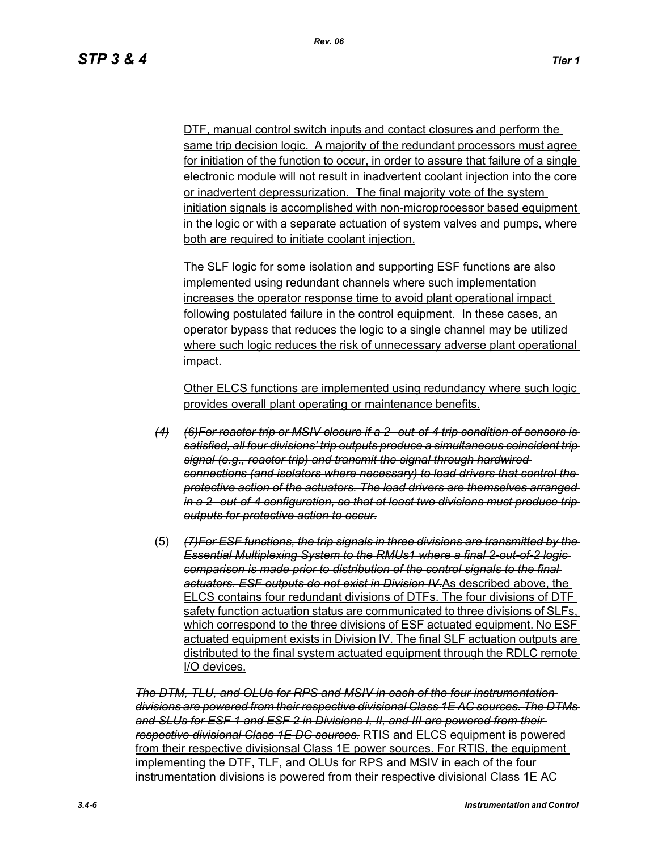DTF, manual control switch inputs and contact closures and perform the same trip decision logic. A majority of the redundant processors must agree for initiation of the function to occur, in order to assure that failure of a single electronic module will not result in inadvertent coolant injection into the core or inadvertent depressurization. The final majority vote of the system initiation signals is accomplished with non-microprocessor based equipment in the logic or with a separate actuation of system valves and pumps, where both are required to initiate coolant injection.

The SLF logic for some isolation and supporting ESF functions are also implemented using redundant channels where such implementation increases the operator response time to avoid plant operational impact following postulated failure in the control equipment. In these cases, an operator bypass that reduces the logic to a single channel may be utilized where such logic reduces the risk of unnecessary adverse plant operational impact.

Other ELCS functions are implemented using redundancy where such logic provides overall plant operating or maintenance benefits.

- *(4) (6)For reactor trip or MSIV closure if a 2--out-of-4 trip condition of sensors is satisfied, all four divisions' trip outputs produce a simultaneous coincident trip signal (e.g., reactor trip) and transmit the signal through hardwired connections (and isolators where necessary) to load drivers that control the protective action of the actuators. The load drivers are themselves arranged in a 2--out-of-4 configuration, so that at least two divisions must produce trip outputs for protective action to occur.*
- (5) *(7)For ESF functions, the trip signals in three divisions are transmitted by the Essential Multiplexing System to the RMUs1 where a final 2-out-of-2 logic comparison is made prior to distribution of the control signals to the final actuators. ESF outputs do not exist in Division IV.*As described above, the ELCS contains four redundant divisions of DTFs. The four divisions of DTF safety function actuation status are communicated to three divisions of SLFs, which correspond to the three divisions of ESF actuated equipment. No ESF actuated equipment exists in Division IV. The final SLF actuation outputs are distributed to the final system actuated equipment through the RDLC remote I/O devices.

*The DTM, TLU, and OLUs for RPS and MSIV in each of the four instrumentation divisions are powered from their respective divisional Class 1E AC sources. The DTMs and SLUs for ESF 1 and ESF 2 in Divisions I, II, and III are powered from their respective divisional Class 1E DC sources.* RTIS and ELCS equipment is powered from their respective divisionsal Class 1E power sources. For RTIS, the equipment implementing the DTF, TLF, and OLUs for RPS and MSIV in each of the four instrumentation divisions is powered from their respective divisional Class 1E AC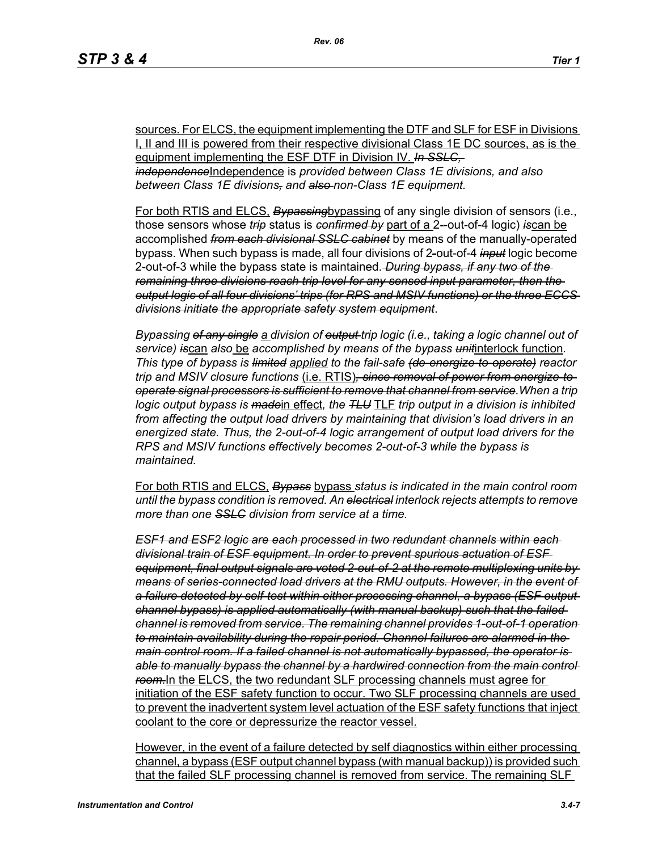sources. For ELCS, the equipment implementing the DTF and SLF for ESF in Divisions I, II and III is powered from their respective divisional Class 1E DC sources, as is the equipment implementing the ESF DTF in Division IV. *In SSLC, independence*Independence is *provided between Class 1E divisions, and also between Class 1E divisions, and also non-Class 1E equipment.*

For both RTIS and ELCS, *Bypassing*bypassing of any single division of sensors (i.e., those sensors whose *trip* status is *confirmed by* part of a 2*-*-out-of-4 logic) *is*can be accomplished *from each divisional SSLC cabinet* by means of the manually-operated bypass. When such bypass is made, all four divisions of 2*-*out-of-4 *input* logic become 2-out-of-3 while the bypass state is maintained. *During bypass, if any two of the remaining three divisions reach trip level for any sensed input parameter, then the output logic of all four divisions' trips (for RPS and MSIV functions) or the three ECCS divisions initiate the appropriate safety system equipment*.

*Bypassing of any single a division of output trip logic (i.e., taking a logic channel out of service) is*can *also* be *accomplished by means of the bypass unit*interlock function*. This type of bypass is limited applied to the fail-safe (de-energize-to-operate) reactor trip and MSIV closure functions* (i.e. RTIS)*, since removal of power from energize-tooperate signal processors is sufficient to remove that channel from service.When a trip logic output bypass is made*in effect*, the TLU* TLF *trip output in a division is inhibited from affecting the output load drivers by maintaining that division's load drivers in an energized state. Thus, the 2-out-of-4 logic arrangement of output load drivers for the RPS and MSIV functions effectively becomes 2-out-of-3 while the bypass is maintained.*

For both RTIS and ELCS, *Bypass* bypass *status is indicated in the main control room until the bypass condition is removed. An electrical interlock rejects attempts to remove more than one SSLC division from service at a time.*

*ESF1 and ESF2 logic are each processed in two redundant channels within each divisional train of ESF equipment. In order to prevent spurious actuation of ESF equipment, final output signals are voted 2-out-of-2 at the remote multiplexing units by means of series-connected load drivers at the RMU outputs. However, in the event of a failure detected by self-test within either processing channel, a bypass (ESF output channel bypass) is applied automatically (with manual backup) such that the failed channel is removed from service. The remaining channel provides 1-out-of-1 operation to maintain availability during the repair period. Channel failures are alarmed in the main control room. If a failed channel is not automatically bypassed, the operator is*  able to manually bypass the channel by a hardwired connection from the main control *room.*In the ELCS, the two redundant SLF processing channels must agree for initiation of the ESF safety function to occur. Two SLF processing channels are used to prevent the inadvertent system level actuation of the ESF safety functions that inject coolant to the core or depressurize the reactor vessel.

However, in the event of a failure detected by self diagnostics within either processing channel, a bypass (ESF output channel bypass (with manual backup)) is provided such that the failed SLF processing channel is removed from service. The remaining SLF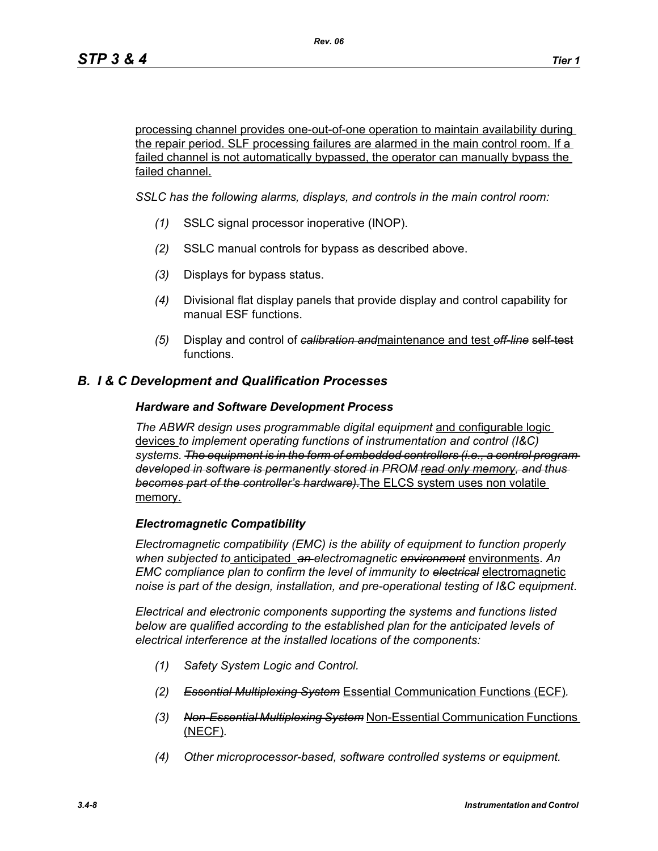processing channel provides one-out-of-one operation to maintain availability during the repair period. SLF processing failures are alarmed in the main control room. If a failed channel is not automatically bypassed, the operator can manually bypass the failed channel.

*SSLC has the following alarms, displays, and controls in the main control room:*

- *(1)* SSLC signal processor inoperative (INOP).
- *(2)* SSLC manual controls for bypass as described above.
- *(3)* Displays for bypass status.
- *(4)* Divisional flat display panels that provide display and control capability for manual ESF functions.
- *(5)* Display and control of *calibration and*maintenance and test *off-line* self-test functions.

## *B. I & C Development and Qualification Processes*

#### *Hardware and Software Development Process*

*The ABWR design uses programmable digital equipment* and configurable logic devices *to implement operating functions of instrumentation and control (I&C) systems. The equipment is in the form of embedded controllers (i.e., a control program developed in software is permanently stored in PROM read only memory, and thus becomes part of the controller's hardware).*The ELCS system uses non volatile memory.

#### *Electromagnetic Compatibility*

*Electromagnetic compatibility (EMC) is the ability of equipment to function properly when subjected to* anticipated *an electromagnetic environment* environments. *An EMC compliance plan to confirm the level of immunity to electrical* electromagnetic *noise is part of the design, installation, and pre-operational testing of I&C equipment*.

*Electrical and electronic components supporting the systems and functions listed below are qualified according to the established plan for the anticipated levels of electrical interference at the installed locations of the components:*

- *(1) Safety System Logic and Control.*
- *(2) Essential Multiplexing System* Essential Communication Functions (ECF)*.*
- *(3) Non-Essential Multiplexing System* Non-Essential Communication Functions (NECF)*.*
- *(4) Other microprocessor-based, software controlled systems or equipment.*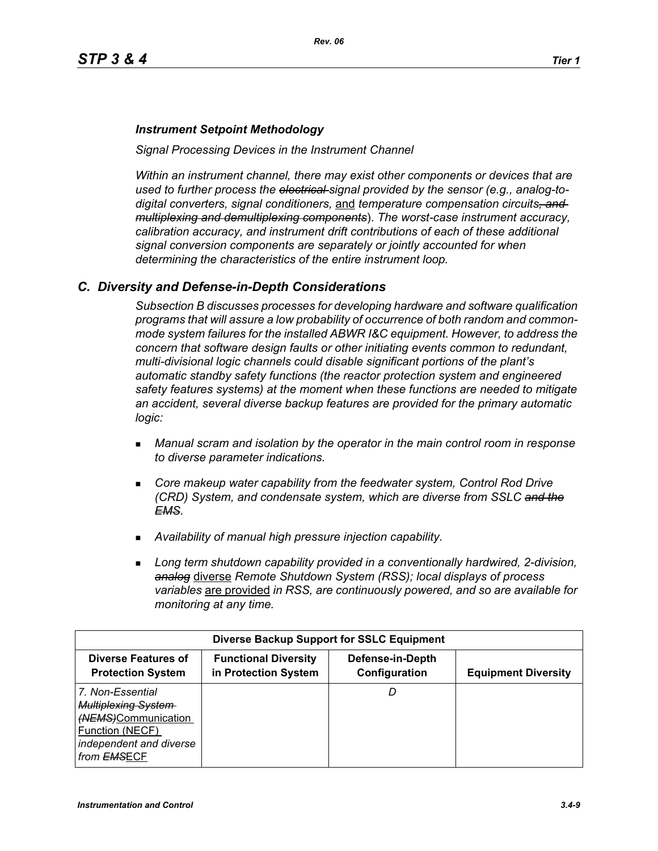#### *Instrument Setpoint Methodology*

*Signal Processing Devices in the Instrument Channel*

*Within an instrument channel, there may exist other components or devices that are used to further process the electrical signal provided by the sensor (e.g., analog-todigital converters, signal conditioners,* and *temperature compensation circuits, and multiplexing and demultiplexing components*). *The worst-case instrument accuracy, calibration accuracy, and instrument drift contributions of each of these additional signal conversion components are separately or jointly accounted for when determining the characteristics of the entire instrument loop.*

## *C. Diversity and Defense-in-Depth Considerations*

*Subsection B discusses processes for developing hardware and software qualification programs that will assure a low probability of occurrence of both random and commonmode system failures for the installed ABWR I&C equipment. However, to address the concern that software design faults or other initiating events common to redundant, multi-divisional logic channels could disable significant portions of the plant's automatic standby safety functions (the reactor protection system and engineered safety features systems) at the moment when these functions are needed to mitigate an accident, several diverse backup features are provided for the primary automatic logic:*

- *Manual scram and isolation by the operator in the main control room in response to diverse parameter indications.*
- **Core makeup water capability from the feedwater system, Control Rod Drive** *(CRD) System, and condensate system, which are diverse from SSLC and the EMS.*
- *Availability of manual high pressure injection capability.*
- *Long term shutdown capability provided in a conventionally hardwired, 2-division, analog* diverse *Remote Shutdown System (RSS); local displays of process variables* are provided *in RSS, are continuously powered, and so are available for monitoring at any time.*

| <b>Diverse Backup Support for SSLC Equipment</b>                                                                                   |                                                     |                                   |                            |
|------------------------------------------------------------------------------------------------------------------------------------|-----------------------------------------------------|-----------------------------------|----------------------------|
| <b>Diverse Features of</b><br><b>Protection System</b>                                                                             | <b>Functional Diversity</b><br>in Protection System | Defense-in-Depth<br>Configuration | <b>Equipment Diversity</b> |
| 7. Non-Essential<br><b>Multiplexing System</b><br>(NEMS)Communication<br>Function (NECF)<br>independent and diverse<br>from EMSECF |                                                     |                                   |                            |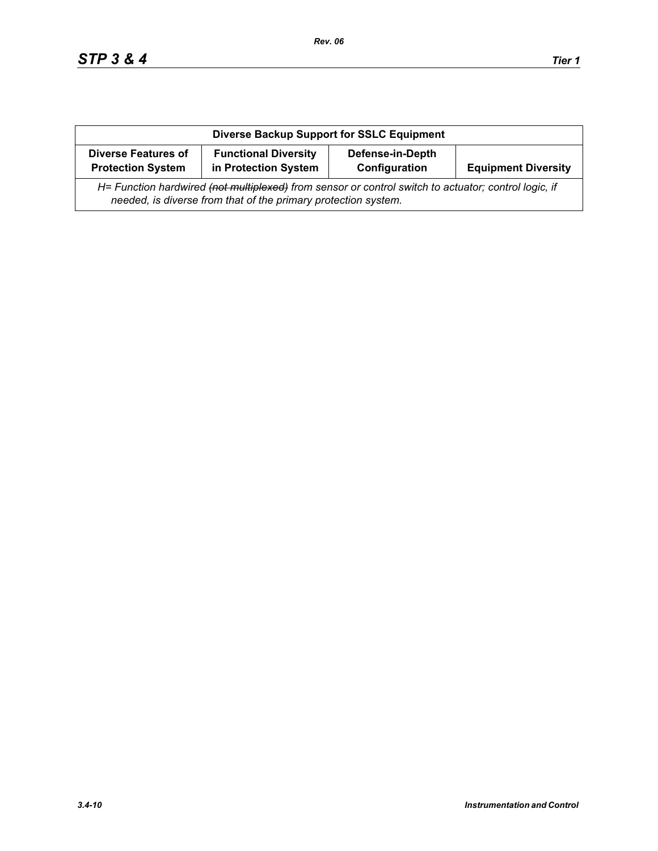| <b>Diverse Backup Support for SSLC Equipment</b>                                                                                                                       |                                                     |                                          |                            |
|------------------------------------------------------------------------------------------------------------------------------------------------------------------------|-----------------------------------------------------|------------------------------------------|----------------------------|
| <b>Diverse Features of</b><br><b>Protection System</b>                                                                                                                 | <b>Functional Diversity</b><br>in Protection System | <b>Defense-in-Depth</b><br>Configuration | <b>Equipment Diversity</b> |
| H= Function hardwired (not multiplexed) from sensor or control switch to actuator; control logic, if<br>needed, is diverse from that of the primary protection system. |                                                     |                                          |                            |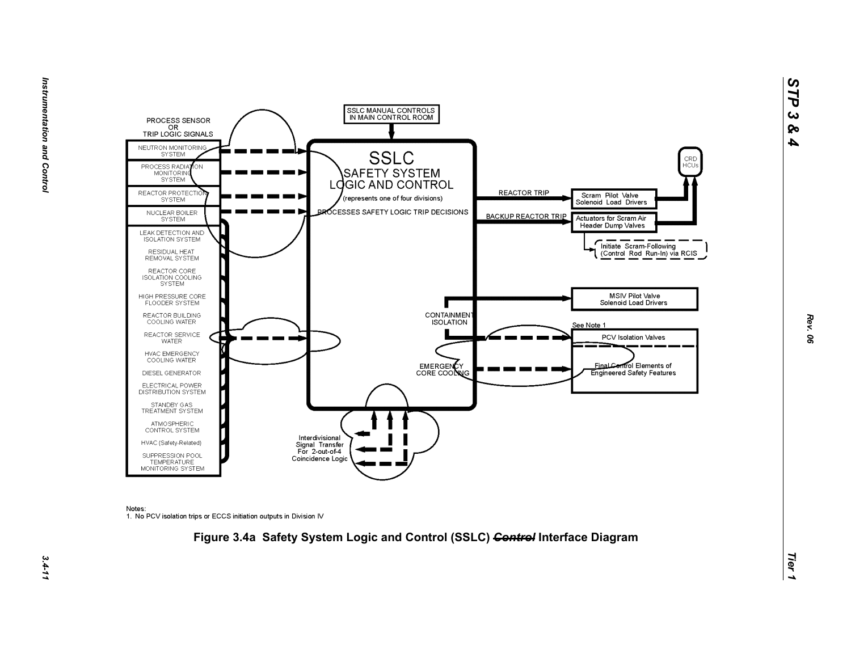



Notes:

1. No PCV isolation trips or ECCS initiation outputs in Division IV



*Rev. 06*

*STP 3 & 4*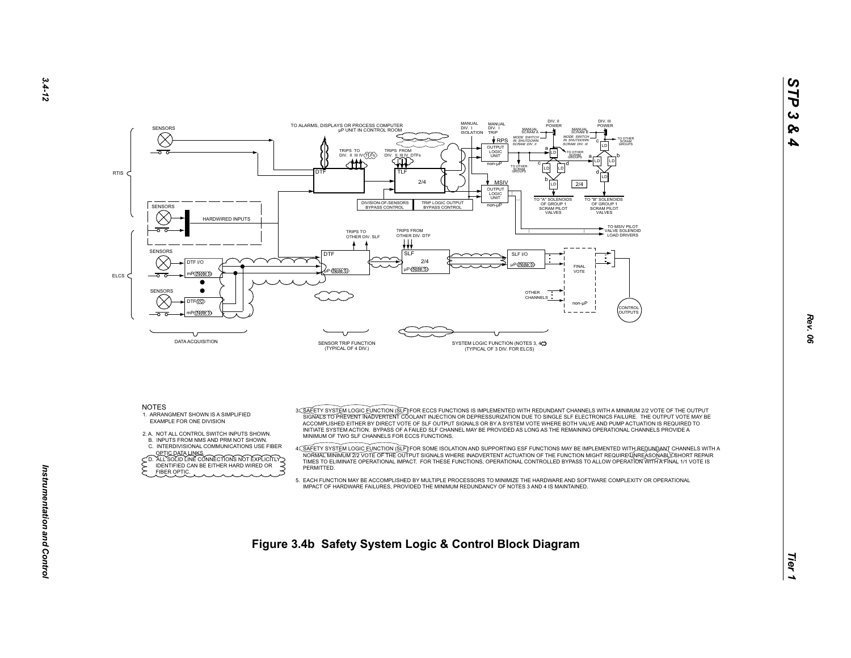



2. A. NOT ALL CONTROL SWITCH INPUTS SHOWN.

 B. INPUTS FROM NMS AND PRM NOT SHOWN.C. INTERDIVISIONAL COMMUNICATIONS USE FIBER

OPTIC DATA LINKS.<br>
CD. ALL SOLID LINE CONNECTIONS NOT EXPLICITLY<br>
FIDENTIFIED CAN BE EITHER HARD WIRED OR

FIBER OPTIC.

 ACCOMPLISHED EITHER BY DIRECT VOTE OF SLF OUTPUT SIGNALS OR BY A SYSTEM VOTE WHERE BOTH VALVE AND PUMP ACTUATION IS REQUIRED TO INITIATE SYSTEM ACTION. BYPASS OF A FAILED SLF CHANNEL MAY BE PROVIDED AS LONG AS THE REMAINING OPERATIONAL CHANNELS PROVIDE A MINIMUM OF TWO SLF CHANNELS FOR ECCS FUNCTIONS.

A<u>C SAFETY SYSTEM LOGIC FUNCTION (SLF</u>)IFOR SOME ISOLATION AND SUPPORTING ESF FUNCTIONS MAY BE IMPLEMENTED WITH A<br>NORMALT MINIMUM 272 VOTE OF THE OUTPUT SIGNALE WHERE INADVERTENT ACTUATION OF THE FUNCTION MIGHT REQUIREASON **PERMITTED.** 

 5. EACH FUNCTION MAY BE ACCOMPLISHED BY MULTIPLE PROCESSORS TO MINIMIZE THE HARDWARE AND SOFTWARE COMPLEXITY OR OPERATIONALIMPACT OF HARDWARE FAILURES, PROVIDED THE MINIMUM REDUNDANCY OF NOTES 3 AND 4 IS MAINTAINED.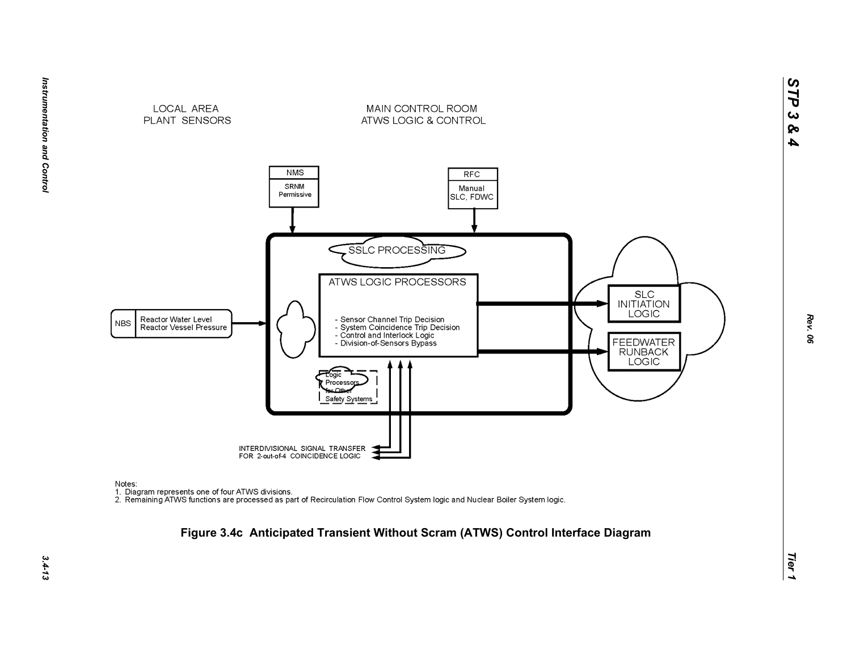



Notes:

nction<br>1. Diagram represents one of four ATWS divisions.<br>2. Remaining ATWS functions are processed as part of Recirculation Flow Control System logic and Nuclear Boiler System logic.

# *Tier 1* **Figure 3.4c Anticipated Transient Without Scram (ATWS) Control Interface Diagram**

*STP 3 & 4*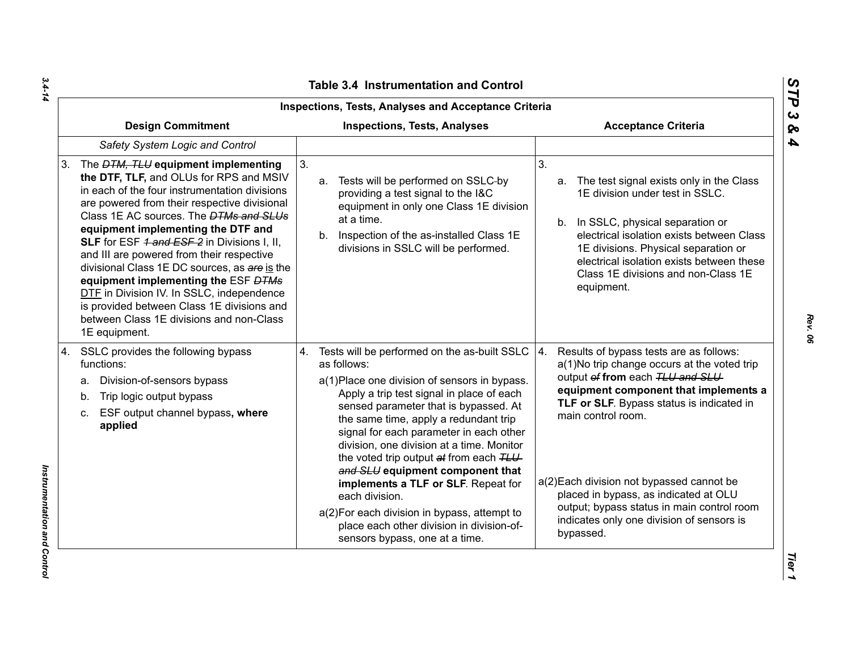| Inspections, Tests, Analyses and Acceptance Criteria                                                                                                                                                                                                                                                                                                                                                                                                                                                                                                                                                                            |                                                                                                                                                                                                                                                                                                                                                                                                                                                                                                                                                                                                              |                                                                                                                                                                                                                                                                                                                                                                                                                                           |
|---------------------------------------------------------------------------------------------------------------------------------------------------------------------------------------------------------------------------------------------------------------------------------------------------------------------------------------------------------------------------------------------------------------------------------------------------------------------------------------------------------------------------------------------------------------------------------------------------------------------------------|--------------------------------------------------------------------------------------------------------------------------------------------------------------------------------------------------------------------------------------------------------------------------------------------------------------------------------------------------------------------------------------------------------------------------------------------------------------------------------------------------------------------------------------------------------------------------------------------------------------|-------------------------------------------------------------------------------------------------------------------------------------------------------------------------------------------------------------------------------------------------------------------------------------------------------------------------------------------------------------------------------------------------------------------------------------------|
| <b>Design Commitment</b>                                                                                                                                                                                                                                                                                                                                                                                                                                                                                                                                                                                                        | <b>Inspections, Tests, Analyses</b>                                                                                                                                                                                                                                                                                                                                                                                                                                                                                                                                                                          | <b>Acceptance Criteria</b>                                                                                                                                                                                                                                                                                                                                                                                                                |
| Safety System Logic and Control                                                                                                                                                                                                                                                                                                                                                                                                                                                                                                                                                                                                 |                                                                                                                                                                                                                                                                                                                                                                                                                                                                                                                                                                                                              |                                                                                                                                                                                                                                                                                                                                                                                                                                           |
| The <i>DTM, TLU</i> equipment implementing<br>3.<br>the DTF, TLF, and OLUs for RPS and MSIV<br>in each of the four instrumentation divisions<br>are powered from their respective divisional<br>Class 1E AC sources. The <b>DTMs and SLUs</b><br>equipment implementing the DTF and<br>SLF for ESF 1 and ESF 2 in Divisions I, II,<br>and III are powered from their respective<br>divisional Class 1E DC sources, as are is the<br>equipment implementing the ESF DTMs<br>DTF in Division IV. In SSLC, independence<br>is provided between Class 1E divisions and<br>between Class 1E divisions and non-Class<br>1E equipment. | 3 <sub>1</sub><br>Tests will be performed on SSLC-by<br>a.<br>providing a test signal to the I&C<br>equipment in only one Class 1E division<br>at a time.<br>b. Inspection of the as-installed Class 1E<br>divisions in SSLC will be performed.                                                                                                                                                                                                                                                                                                                                                              | 3 <sub>1</sub><br>The test signal exists only in the Class<br>a.<br>1E division under test in SSLC.<br>b. In SSLC, physical separation or<br>electrical isolation exists between Class<br>1E divisions. Physical separation or<br>electrical isolation exists between these<br>Class 1E divisions and non-Class 1E<br>equipment.                                                                                                          |
| SSLC provides the following bypass<br>4.<br>functions:<br>Division-of-sensors bypass<br>a.<br>Trip logic output bypass<br>b.<br>ESF output channel bypass, where<br>C.<br>applied                                                                                                                                                                                                                                                                                                                                                                                                                                               | 4. Tests will be performed on the as-built SSLC<br>as follows:<br>a(1) Place one division of sensors in bypass.<br>Apply a trip test signal in place of each<br>sensed parameter that is bypassed. At<br>the same time, apply a redundant trip<br>signal for each parameter in each other<br>division, one division at a time. Monitor<br>the voted trip output at from each TLU<br>and SLU equipment component that<br>implements a TLF or SLF. Repeat for<br>each division.<br>a(2) For each division in bypass, attempt to<br>place each other division in division-of-<br>sensors bypass, one at a time. | 4.<br>Results of bypass tests are as follows:<br>a(1)No trip change occurs at the voted trip<br>output of from each TLU and SLU<br>equipment component that implements a<br>TLF or SLF. Bypass status is indicated in<br>main control room.<br>a(2) Each division not bypassed cannot be<br>placed in bypass, as indicated at OLU<br>output; bypass status in main control room<br>indicates only one division of sensors is<br>bypassed. |

*Rev. 06*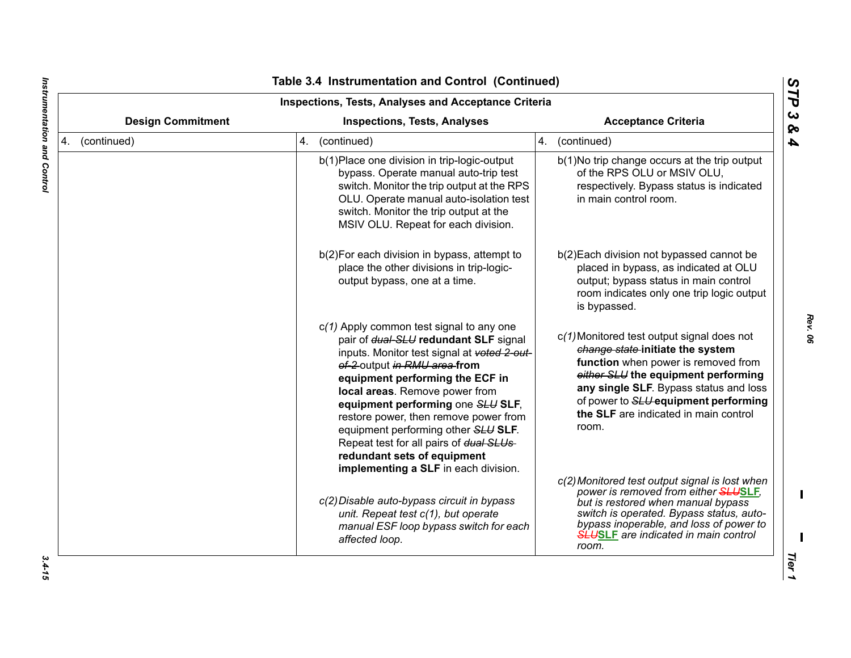| <b>Inspections, Tests, Analyses and Acceptance Criteria</b> |                                                                                                                                                                                                                                                                                                                                                                                                                                                                               |                                                                                                                                                                                                                                                                                                  |
|-------------------------------------------------------------|-------------------------------------------------------------------------------------------------------------------------------------------------------------------------------------------------------------------------------------------------------------------------------------------------------------------------------------------------------------------------------------------------------------------------------------------------------------------------------|--------------------------------------------------------------------------------------------------------------------------------------------------------------------------------------------------------------------------------------------------------------------------------------------------|
| <b>Design Commitment</b>                                    | <b>Inspections, Tests, Analyses</b>                                                                                                                                                                                                                                                                                                                                                                                                                                           | <b>Acceptance Criteria</b>                                                                                                                                                                                                                                                                       |
| 4. (continued)                                              | (continued)<br>4.                                                                                                                                                                                                                                                                                                                                                                                                                                                             | 4. (continued)                                                                                                                                                                                                                                                                                   |
|                                                             | b(1) Place one division in trip-logic-output<br>bypass. Operate manual auto-trip test<br>switch. Monitor the trip output at the RPS<br>OLU. Operate manual auto-isolation test<br>switch. Monitor the trip output at the<br>MSIV OLU. Repeat for each division.                                                                                                                                                                                                               | b(1) No trip change occurs at the trip output<br>of the RPS OLU or MSIV OLU,<br>respectively. Bypass status is indicated<br>in main control room.                                                                                                                                                |
|                                                             | b(2) For each division in bypass, attempt to<br>place the other divisions in trip-logic-<br>output bypass, one at a time.                                                                                                                                                                                                                                                                                                                                                     | b(2) Each division not bypassed cannot be<br>placed in bypass, as indicated at OLU<br>output; bypass status in main control<br>room indicates only one trip logic output<br>is bypassed.                                                                                                         |
|                                                             | $c(1)$ Apply common test signal to any one<br>pair of dual-SLU redundant SLF signal<br>inputs. Monitor test signal at voted 2-out-<br>of-2 output in RMU area from<br>equipment performing the ECF in<br>local areas. Remove power from<br>equipment performing one SLU SLF,<br>restore power, then remove power from<br>equipment performing other SLU SLF.<br>Repeat test for all pairs of dual SLUs<br>redundant sets of equipment<br>implementing a SLF in each division. | c(1) Monitored test output signal does not<br>change state initiate the system<br>function when power is removed from<br>either SLU the equipment performing<br>any single SLF. Bypass status and loss<br>of power to SLU-equipment performing<br>the SLF are indicated in main control<br>room. |
|                                                             | c(2) Disable auto-bypass circuit in bypass<br>unit. Repeat test c(1), but operate<br>manual ESF loop bypass switch for each<br>affected loop.                                                                                                                                                                                                                                                                                                                                 | c(2) Monitored test output signal is lost when<br>power is removed from either <b>SLUSLF</b> ,<br>but is restored when manual bypass<br>switch is operated. Bypass status, auto-<br>bypass inoperable, and loss of power to<br><b>SLUSLF</b> are indicated in main control<br>room.              |

 $\blacksquare$ 

*Rev. 06*

 $3.4 - 15$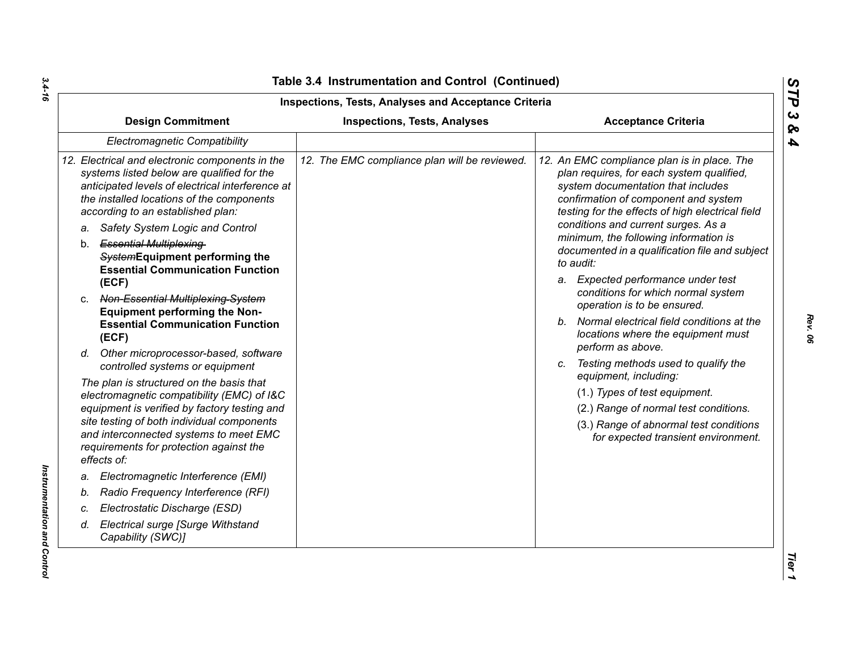| Inspections, Tests, Analyses and Acceptance Criteria                                                                                                                                                                                |                                               |                                                                                                                                                                                                                                                                   |
|-------------------------------------------------------------------------------------------------------------------------------------------------------------------------------------------------------------------------------------|-----------------------------------------------|-------------------------------------------------------------------------------------------------------------------------------------------------------------------------------------------------------------------------------------------------------------------|
| <b>Design Commitment</b>                                                                                                                                                                                                            | <b>Inspections, Tests, Analyses</b>           | <b>Acceptance Criteria</b>                                                                                                                                                                                                                                        |
| <b>Electromagnetic Compatibility</b>                                                                                                                                                                                                |                                               |                                                                                                                                                                                                                                                                   |
| 12. Electrical and electronic components in the<br>systems listed below are qualified for the<br>anticipated levels of electrical interference at<br>the installed locations of the components<br>according to an established plan: | 12. The EMC compliance plan will be reviewed. | 12. An EMC compliance plan is in place. The<br>plan requires, for each system qualified,<br>system documentation that includes<br>confirmation of component and system<br>testing for the effects of high electrical field<br>conditions and current surges. As a |
| Safety System Logic and Control<br>a.                                                                                                                                                                                               |                                               | minimum, the following information is                                                                                                                                                                                                                             |
| b. Essential Multiplexing-<br>SystemEquipment performing the<br><b>Essential Communication Function</b>                                                                                                                             |                                               | documented in a qualification file and subject<br>to audit:                                                                                                                                                                                                       |
| (ECF)                                                                                                                                                                                                                               |                                               | a. Expected performance under test                                                                                                                                                                                                                                |
| c. Non-Essential Multiplexing-System<br><b>Equipment performing the Non-</b>                                                                                                                                                        |                                               | conditions for which normal system<br>operation is to be ensured.                                                                                                                                                                                                 |
| <b>Essential Communication Function</b><br>(ECF)                                                                                                                                                                                    |                                               | b. Normal electrical field conditions at the<br>locations where the equipment must<br>perform as above.                                                                                                                                                           |
| d. Other microprocessor-based, software<br>controlled systems or equipment                                                                                                                                                          |                                               | c. Testing methods used to qualify the<br>equipment, including:                                                                                                                                                                                                   |
| The plan is structured on the basis that                                                                                                                                                                                            |                                               | (1.) Types of test equipment.                                                                                                                                                                                                                                     |
| electromagnetic compatibility (EMC) of I&C<br>equipment is verified by factory testing and                                                                                                                                          |                                               | (2.) Range of normal test conditions.                                                                                                                                                                                                                             |
| site testing of both individual components<br>and interconnected systems to meet EMC<br>requirements for protection against the<br>effects of:                                                                                      |                                               | (3.) Range of abnormal test conditions<br>for expected transient environment.                                                                                                                                                                                     |
| Electromagnetic Interference (EMI)<br>a.                                                                                                                                                                                            |                                               |                                                                                                                                                                                                                                                                   |
| Radio Frequency Interference (RFI)<br>b.                                                                                                                                                                                            |                                               |                                                                                                                                                                                                                                                                   |
| Electrostatic Discharge (ESD)<br>C.                                                                                                                                                                                                 |                                               |                                                                                                                                                                                                                                                                   |
| <b>Electrical surge [Surge Withstand</b><br>d.<br>Capability (SWC)]                                                                                                                                                                 |                                               |                                                                                                                                                                                                                                                                   |